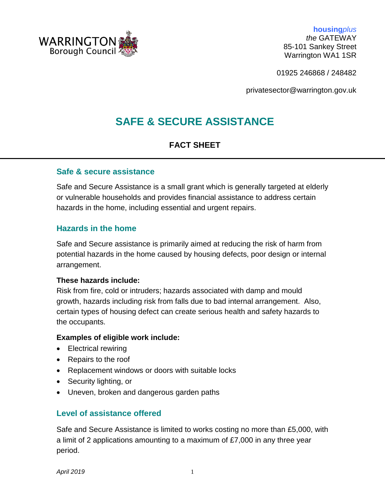

**housing***plus the* GATEWAY 85-101 Sankey Street Warrington WA1 1SR

01925 246868 / 248482

privatesector@warrington.gov.uk

# **SAFE & SECURE ASSISTANCE**

# **FACT SHEET**

#### **Safe & secure assistance**

Safe and Secure Assistance is a small grant which is generally targeted at elderly or vulnerable households and provides financial assistance to address certain hazards in the home, including essential and urgent repairs.

## **Hazards in the home**

Safe and Secure assistance is primarily aimed at reducing the risk of harm from potential hazards in the home caused by housing defects, poor design or internal arrangement.

#### **These hazards include:**

Risk from fire, cold or intruders; hazards associated with damp and mould growth, hazards including risk from falls due to bad internal arrangement. Also, certain types of housing defect can create serious health and safety hazards to the occupants.

#### **Examples of eligible work include:**

- Electrical rewiring
- Repairs to the roof
- Replacement windows or doors with suitable locks
- Security lighting, or
- Uneven, broken and dangerous garden paths

#### **Level of assistance offered**

Safe and Secure Assistance is limited to works costing no more than £5,000, with a limit of 2 applications amounting to a maximum of £7,000 in any three year period.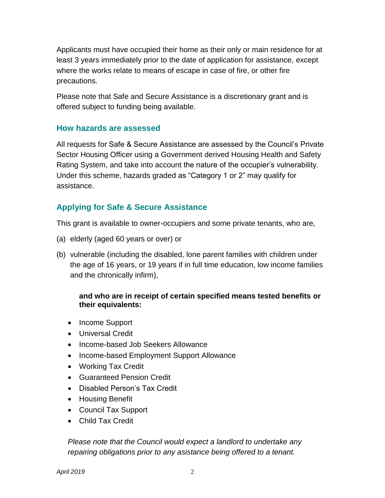Applicants must have occupied their home as their only or main residence for at least 3 years immediately prior to the date of application for assistance, except where the works relate to means of escape in case of fire, or other fire precautions.

Please note that Safe and Secure Assistance is a discretionary grant and is offered subject to funding being available.

#### **How hazards are assessed**

All requests for Safe & Secure Assistance are assessed by the Council's Private Sector Housing Officer using a Government derived Housing Health and Safety Rating System, and take into account the nature of the occupier's vulnerability. Under this scheme, hazards graded as "Category 1 or 2" may qualify for assistance.

# **Applying for Safe & Secure Assistance**

This grant is available to owner-occupiers and some private tenants, who are,

- (a) elderly (aged 60 years or over) or
- (b) vulnerable (including the disabled, lone parent families with children under the age of 16 years, or 19 years if in full time education, low income families and the chronically infirm),

#### **and who are in receipt of certain specified means tested benefits or their equivalents:**

- Income Support
- Universal Credit
- Income-based Job Seekers Allowance
- Income-based Employment Support Allowance
- Working Tax Credit
- Guaranteed Pension Credit
- Disabled Person's Tax Credit
- Housing Benefit
- Council Tax Support
- Child Tax Credit

*Please note that the Council would expect a landlord to undertake any repairing obligations prior to any asistance being offered to a tenant.*